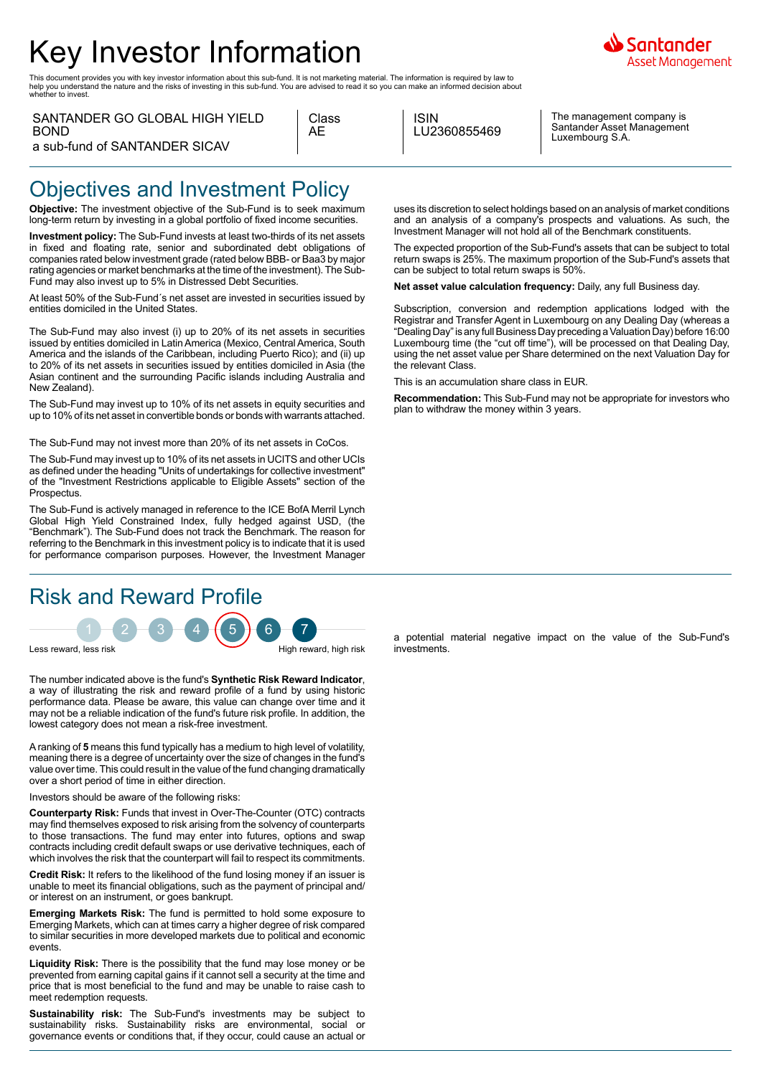# Key Investor Information

This document provides you with key investor information about this sub-fund. It is not marketing material. The information is required by law to<br>help you understand the nature and the risks of investing in this sub-fund. whether to invest.

| SANTANDER GO GLOBAL HIGH YIELD |
|--------------------------------|
| BOND.                          |
| a sub-fund of SANTANDER SICAV  |

| Class |
|-------|
| AΗ    |
|       |

ISIN LU2360855469

The management company is Santander Asset Management Luxembourg S.A.

iantander Asset Management

## Objectives and Investment Policy

**Objective:** The investment objective of the Sub-Fund is to seek maximum long-term return by investing in a global portfolio of fixed income securities.

**Investment policy:** The Sub-Fund invests at least two-thirds of its net assets in fixed and floating rate, senior and subordinated debt obligations of companies rated below investment grade (rated below BBB- or Baa3 by major rating agencies or market benchmarks at the time of the investment). The Sub-Fund may also invest up to 5% in Distressed Debt Securities.

At least 50% of the Sub-Fund´s net asset are invested in securities issued by entities domiciled in the United States.

The Sub-Fund may also invest (i) up to 20% of its net assets in securities issued by entities domiciled in Latin America (Mexico, Central America, South America and the islands of the Caribbean, including Puerto Rico); and (ii) up to 20% of its net assets in securities issued by entities domiciled in Asia (the Asian continent and the surrounding Pacific islands including Australia and New Zealand).

The Sub-Fund may invest up to 10% of its net assets in equity securities and up to 10% of its net asset in convertible bonds or bonds with warrants attached.

The Sub-Fund may not invest more than 20% of its net assets in CoCos.

The Sub-Fund may invest up to 10% of its net assets in UCITS and other UCIs as defined under the heading "Units of undertakings for collective investment" of the "Investment Restrictions applicable to Eligible Assets" section of the **Prospectus** 

The Sub-Fund is actively managed in reference to the ICE BofA Merril Lynch Global High Yield Constrained Index, fully hedged against USD, (the "Benchmark"). The Sub-Fund does not track the Benchmark. The reason for referring to the Benchmark in this investment policy is to indicate that it is used for performance comparison purposes. However, the Investment Manager

### Risk and Reward Profile

 $1 - 2 - 3 - 4 + 5 + 6 - 7$ Less reward, less risk High reward, high risk High reward, high risk

The number indicated above is the fund's **Synthetic Risk Reward Indicator**, a way of illustrating the risk and reward profile of a fund by using historic performance data. Please be aware, this value can change over time and it may not be a reliable indication of the fund's future risk profile. In addition, the lowest category does not mean a risk-free investment.

A ranking of **5** means this fund typically has a medium to high level of volatility, meaning there is a degree of uncertainty over the size of changes in the fund's value over time. This could result in the value of the fund changing dramatically over a short period of time in either direction.

Investors should be aware of the following risks:

**Counterparty Risk:** Funds that invest in Over-The-Counter (OTC) contracts may find themselves exposed to risk arising from the solvency of counterparts to those transactions. The fund may enter into futures, options and swap contracts including credit default swaps or use derivative techniques, each of which involves the risk that the counterpart will fail to respect its commitments.

**Credit Risk:** It refers to the likelihood of the fund losing money if an issuer is unable to meet its financial obligations, such as the payment of principal and/ or interest on an instrument, or goes bankrupt.

**Emerging Markets Risk:** The fund is permitted to hold some exposure to Emerging Markets, which can at times carry a higher degree of risk compared to similar securities in more developed markets due to political and economic events.

**Liquidity Risk:** There is the possibility that the fund may lose money or be prevented from earning capital gains if it cannot sell a security at the time and price that is most beneficial to the fund and may be unable to raise cash to meet redemption requests.

**Sustainability risk:** The Sub-Fund's investments may be subject to sustainability risks. Sustainability risks are environmental, social or governance events or conditions that, if they occur, could cause an actual or uses its discretion to select holdings based on an analysis of market conditions and an analysis of a company's prospects and valuations. As such, the Investment Manager will not hold all of the Benchmark constituents.

The expected proportion of the Sub-Fund's assets that can be subject to total return swaps is 25%. The maximum proportion of the Sub-Fund's assets that can be subject to total return swaps is 50%.

**Net asset value calculation frequency:** Daily, any full Business day.

Subscription, conversion and redemption applications lodged with the Registrar and Transfer Agent in Luxembourg on any Dealing Day (whereas a "Dealing Day" is any full Business Day preceding a Valuation Day) before 16:00 Luxembourg time (the "cut off time"), will be processed on that Dealing Day, using the net asset value per Share determined on the next Valuation Day for the relevant Class.

This is an accumulation share class in EUR.

**Recommendation:** This Sub-Fund may not be appropriate for investors who plan to withdraw the money within 3 years.

a potential material negative impact on the value of the Sub-Fund's investments.